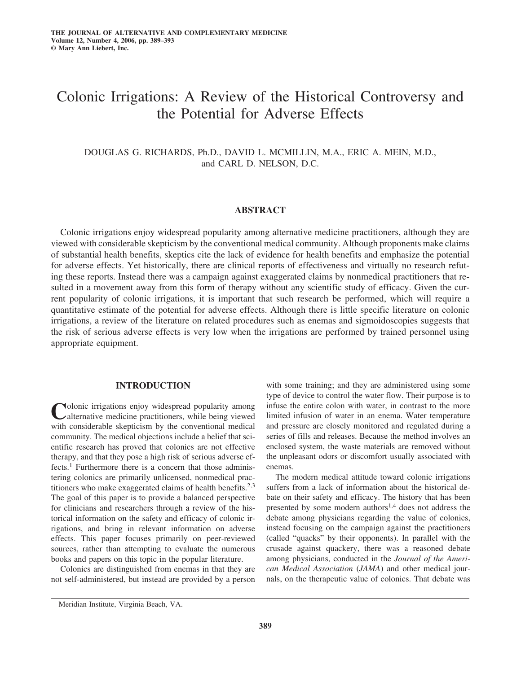# Colonic Irrigations: A Review of the Historical Controversy and the Potential for Adverse Effects

# DOUGLAS G. RICHARDS, Ph.D., DAVID L. MCMILLIN, M.A., ERIC A. MEIN, M.D., and CARL D. NELSON, D.C.

## **ABSTRACT**

Colonic irrigations enjoy widespread popularity among alternative medicine practitioners, although they are viewed with considerable skepticism by the conventional medical community. Although proponents make claims of substantial health benefits, skeptics cite the lack of evidence for health benefits and emphasize the potential for adverse effects. Yet historically, there are clinical reports of effectiveness and virtually no research refuting these reports. Instead there was a campaign against exaggerated claims by nonmedical practitioners that resulted in a movement away from this form of therapy without any scientific study of efficacy. Given the current popularity of colonic irrigations, it is important that such research be performed, which will require a quantitative estimate of the potential for adverse effects. Although there is little specific literature on colonic irrigations, a review of the literature on related procedures such as enemas and sigmoidoscopies suggests that the risk of serious adverse effects is very low when the irrigations are performed by trained personnel using appropriate equipment.

#### **INTRODUCTION**

**Nolonic irrigations enjoy widespread popularity among** alternative medicine practitioners, while being viewed with considerable skepticism by the conventional medical community. The medical objections include a belief that scientific research has proved that colonics are not effective therapy, and that they pose a high risk of serious adverse ef $fects<sup>1</sup>$ . Furthermore there is a concern that those administering colonics are primarily unlicensed, nonmedical practitioners who make exaggerated claims of health benefits. $2.3$ The goal of this paper is to provide a balanced perspective for clinicians and researchers through a review of the historical information on the safety and efficacy of colonic irrigations, and bring in relevant information on adverse effects. This paper focuses primarily on peer-reviewed sources, rather than attempting to evaluate the numerous books and papers on this topic in the popular literature.

Colonics are distinguished from enemas in that they are not self-administered, but instead are provided by a person with some training; and they are administered using some type of device to control the water flow. Their purpose is to infuse the entire colon with water, in contrast to the more limited infusion of water in an enema. Water temperature and pressure are closely monitored and regulated during a series of fills and releases. Because the method involves an enclosed system, the waste materials are removed without the unpleasant odors or discomfort usually associated with enemas.

The modern medical attitude toward colonic irrigations suffers from a lack of information about the historical debate on their safety and efficacy. The history that has been presented by some modern authors<sup>1,4</sup> does not address the debate among physicians regarding the value of colonics, instead focusing on the campaign against the practitioners (called "quacks" by their opponents). In parallel with the crusade against quackery, there was a reasoned debate among physicians, conducted in the *Journal of the American Medical Association* (*JAMA*) and other medical journals, on the therapeutic value of colonics. That debate was

Meridian Institute, Virginia Beach, VA.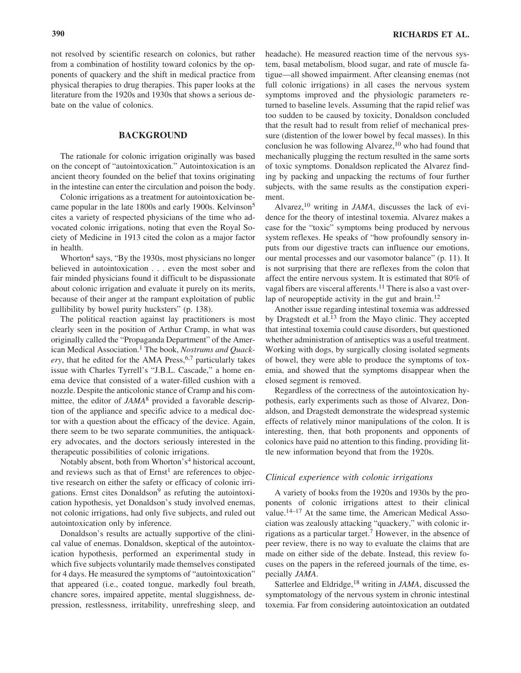not resolved by scientific research on colonics, but rather from a combination of hostility toward colonics by the opponents of quackery and the shift in medical practice from physical therapies to drug therapies. This paper looks at the literature from the 1920s and 1930s that shows a serious debate on the value of colonics.

## **BACKGROUND**

The rationale for colonic irrigation originally was based on the concept of "autointoxication." Autointoxication is an ancient theory founded on the belief that toxins originating in the intestine can enter the circulation and poison the body.

Colonic irrigations as a treatment for autointoxication became popular in the late 1800s and early 1900s. Kelvinson<sup>5</sup> cites a variety of respected physicians of the time who advocated colonic irrigations, noting that even the Royal Society of Medicine in 1913 cited the colon as a major factor in health.

Whorton<sup>4</sup> says, "By the 1930s, most physicians no longer believed in autointoxication . . . even the most sober and fair minded physicians found it difficult to be dispassionate about colonic irrigation and evaluate it purely on its merits, because of their anger at the rampant exploitation of public gullibility by bowel purity hucksters" (p. 138).

The political reaction against lay practitioners is most clearly seen in the position of Arthur Cramp, in what was originally called the "Propaganda Department" of the American Medical Association.1 The book, *Nostrums and Quack*ery, that he edited for the AMA Press,<sup>6,7</sup> particularly takes issue with Charles Tyrrell's "J.B.L. Cascade," a home enema device that consisted of a water-filled cushion with a nozzle. Despite the anticolonic stance of Cramp and his committee, the editor of *JAMA*<sup>8</sup> provided a favorable description of the appliance and specific advice to a medical doctor with a question about the efficacy of the device. Again, there seem to be two separate communities, the antiquackery advocates, and the doctors seriously interested in the therapeutic possibilities of colonic irrigations.

Notably absent, both from Whorton's<sup>4</sup> historical account, and reviews such as that of  $Ernst<sup>1</sup>$  are references to objective research on either the safety or efficacy of colonic irrigations. Ernst cites  $Donaldson<sup>9</sup>$  as refuting the autointoxication hypothesis, yet Donaldson's study involved enemas, not colonic irrigations, had only five subjects, and ruled out autointoxication only by inference.

Donaldson's results are actually supportive of the clinical value of enemas. Donaldson, skeptical of the autointoxication hypothesis, performed an experimental study in which five subjects voluntarily made themselves constipated for 4 days. He measured the symptoms of "autointoxication" that appeared (i.e., coated tongue, markedly foul breath, chancre sores, impaired appetite, mental sluggishness, depression, restlessness, irritability, unrefreshing sleep, and headache). He measured reaction time of the nervous system, basal metabolism, blood sugar, and rate of muscle fatigue—all showed impairment. After cleansing enemas (not full colonic irrigations) in all cases the nervous system symptoms improved and the physiologic parameters returned to baseline levels. Assuming that the rapid relief was too sudden to be caused by toxicity, Donaldson concluded that the result had to result from relief of mechanical pressure (distention of the lower bowel by fecal masses). In this conclusion he was following Alvarez,  $10$  who had found that mechanically plugging the rectum resulted in the same sorts of toxic symptoms. Donaldson replicated the Alvarez finding by packing and unpacking the rectums of four further subjects, with the same results as the constipation experiment.

Alvarez,10 writing in *JAMA*, discusses the lack of evidence for the theory of intestinal toxemia. Alvarez makes a case for the "toxic" symptoms being produced by nervous system reflexes. He speaks of "how profoundly sensory inputs from our digestive tracts can influence our emotions, our mental processes and our vasomotor balance" (p. 11). It is not surprising that there are reflexes from the colon that affect the entire nervous system. It is estimated that 80% of vagal fibers are visceral afferents.<sup>11</sup> There is also a vast overlap of neuropeptide activity in the gut and brain. $12$ 

Another issue regarding intestinal toxemia was addressed by Dragstedt et al.<sup>13</sup> from the Mayo clinic. They accepted that intestinal toxemia could cause disorders, but questioned whether administration of antiseptics was a useful treatment. Working with dogs, by surgically closing isolated segments of bowel, they were able to produce the symptoms of toxemia, and showed that the symptoms disappear when the closed segment is removed.

Regardless of the correctness of the autointoxication hypothesis, early experiments such as those of Alvarez, Donaldson, and Dragstedt demonstrate the widespread systemic effects of relatively minor manipulations of the colon. It is interesting, then, that both proponents and opponents of colonics have paid no attention to this finding, providing little new information beyond that from the 1920s.

#### *Clinical experience with colonic irrigations*

A variety of books from the 1920s and 1930s by the proponents of colonic irrigations attest to their clinical value.<sup>14–17</sup> At the same time, the American Medical Association was zealously attacking "quackery," with colonic irrigations as a particular target.7 However, in the absence of peer review, there is no way to evaluate the claims that are made on either side of the debate. Instead, this review focuses on the papers in the refereed journals of the time, especially *JAMA*.

Satterlee and Eldridge,<sup>18</sup> writing in *JAMA*, discussed the symptomatology of the nervous system in chronic intestinal toxemia. Far from considering autointoxication an outdated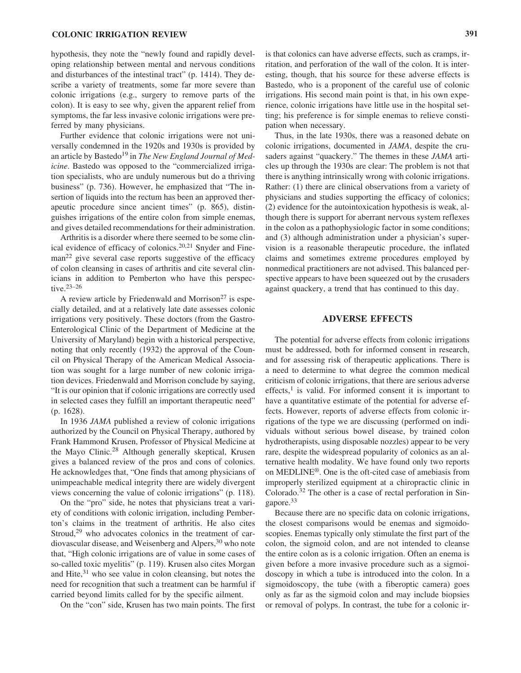# **COLONIC IRRIGATION REVIEW 391**

hypothesis, they note the "newly found and rapidly developing relationship between mental and nervous conditions and disturbances of the intestinal tract" (p. 1414). They describe a variety of treatments, some far more severe than colonic irrigations (e.g., surgery to remove parts of the colon). It is easy to see why, given the apparent relief from symptoms, the far less invasive colonic irrigations were preferred by many physicians.

Further evidence that colonic irrigations were not universally condemned in the 1920s and 1930s is provided by an article by Bastedo<sup>19</sup> in *The New England Journal of Medicine*. Bastedo was opposed to the "commercialized irrigation specialists, who are unduly numerous but do a thriving business" (p. 736). However, he emphasized that "The insertion of liquids into the rectum has been an approved therapeutic procedure since ancient times" (p. 865), distinguishes irrigations of the entire colon from simple enemas, and gives detailed recommendations for their administration.

Arthritis is a disorder where there seemed to be some clinical evidence of efficacy of colonics.20,21 Snyder and Fine- $\text{man}^{22}$  give several case reports suggestive of the efficacy of colon cleansing in cases of arthritis and cite several clinicians in addition to Pemberton who have this perspective. $23-26$ 

A review article by Friedenwald and Morrison $27$  is especially detailed, and at a relatively late date assesses colonic irrigations very positively. These doctors (from the Gastro-Enterological Clinic of the Department of Medicine at the University of Maryland) begin with a historical perspective, noting that only recently (1932) the approval of the Council on Physical Therapy of the American Medical Association was sought for a large number of new colonic irrigation devices. Friedenwald and Morrison conclude by saying, "It is our opinion that if colonic irrigations are correctly used in selected cases they fulfill an important therapeutic need" (p. 1628).

In 1936 *JAMA* published a review of colonic irrigations authorized by the Council on Physical Therapy, authored by Frank Hammond Krusen, Professor of Physical Medicine at the Mayo Clinic.<sup>28</sup> Although generally skeptical, Krusen gives a balanced review of the pros and cons of colonics. He acknowledges that, "One finds that among physicians of unimpeachable medical integrity there are widely divergent views concerning the value of colonic irrigations" (p. 118).

On the "pro" side, he notes that physicians treat a variety of conditions with colonic irrigation, including Pemberton's claims in the treatment of arthritis. He also cites Stroud, $29$  who advocates colonics in the treatment of cardiovascular disease, and Weisenberg and Alpers,<sup>30</sup> who note that, "High colonic irrigations are of value in some cases of so-called toxic myelitis" (p. 119). Krusen also cites Morgan and Hite, $31$  who see value in colon cleansing, but notes the need for recognition that such a treatment can be harmful if carried beyond limits called for by the specific ailment.

On the "con" side, Krusen has two main points. The first

is that colonics can have adverse effects, such as cramps, irritation, and perforation of the wall of the colon. It is interesting, though, that his source for these adverse effects is Bastedo, who is a proponent of the careful use of colonic irrigations. His second main point is that, in his own experience, colonic irrigations have little use in the hospital setting; his preference is for simple enemas to relieve constipation when necessary.

Thus, in the late 1930s, there was a reasoned debate on colonic irrigations, documented in *JAMA*, despite the crusaders against "quackery." The themes in these *JAMA* articles up through the 1930s are clear: The problem is not that there is anything intrinsically wrong with colonic irrigations. Rather: (1) there are clinical observations from a variety of physicians and studies supporting the efficacy of colonics; (2) evidence for the autointoxication hypothesis is weak, although there is support for aberrant nervous system reflexes in the colon as a pathophysiologic factor in some conditions; and (3) although administration under a physician's supervision is a reasonable therapeutic procedure, the inflated claims and sometimes extreme procedures employed by nonmedical practitioners are not advised. This balanced perspective appears to have been squeezed out by the crusaders against quackery, a trend that has continued to this day.

## **ADVERSE EFFECTS**

The potential for adverse effects from colonic irrigations must be addressed, both for informed consent in research, and for assessing risk of therapeutic applications. There is a need to determine to what degree the common medical criticism of colonic irrigations, that there are serious adverse effects, $\frac{1}{1}$  is valid. For informed consent it is important to have a quantitative estimate of the potential for adverse effects. However, reports of adverse effects from colonic irrigations of the type we are discussing (performed on individuals without serious bowel disease, by trained colon hydrotherapists, using disposable nozzles) appear to be very rare, despite the widespread popularity of colonics as an alternative health modality. We have found only two reports on MEDLINE®. One is the oft-cited case of amebiasis from improperly sterilized equipment at a chiropractic clinic in Colorado.<sup>32</sup> The other is a case of rectal perforation in Singapore.33

Because there are no specific data on colonic irrigations, the closest comparisons would be enemas and sigmoidoscopies. Enemas typically only stimulate the first part of the colon, the sigmoid colon, and are not intended to cleanse the entire colon as is a colonic irrigation. Often an enema is given before a more invasive procedure such as a sigmoidoscopy in which a tube is introduced into the colon. In a sigmoidoscopy, the tube (with a fiberoptic camera) goes only as far as the sigmoid colon and may include biopsies or removal of polyps. In contrast, the tube for a colonic ir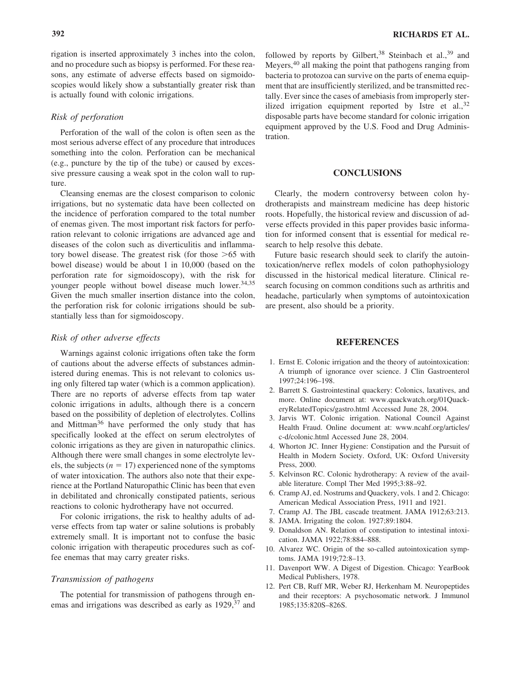rigation is inserted approximately 3 inches into the colon, and no procedure such as biopsy is performed. For these reasons, any estimate of adverse effects based on sigmoidoscopies would likely show a substantially greater risk than is actually found with colonic irrigations.

## *Risk of perforation*

Perforation of the wall of the colon is often seen as the most serious adverse effect of any procedure that introduces something into the colon. Perforation can be mechanical (e.g., puncture by the tip of the tube) or caused by excessive pressure causing a weak spot in the colon wall to rupture.

Cleansing enemas are the closest comparison to colonic irrigations, but no systematic data have been collected on the incidence of perforation compared to the total number of enemas given. The most important risk factors for perforation relevant to colonic irrigations are advanced age and diseases of the colon such as diverticulitis and inflammatory bowel disease. The greatest risk (for those  $>65$  with bowel disease) would be about 1 in 10,000 (based on the perforation rate for sigmoidoscopy), with the risk for younger people without bowel disease much lower.<sup>34,35</sup> Given the much smaller insertion distance into the colon, the perforation risk for colonic irrigations should be substantially less than for sigmoidoscopy.

#### *Risk of other adverse effects*

Warnings against colonic irrigations often take the form of cautions about the adverse effects of substances administered during enemas. This is not relevant to colonics using only filtered tap water (which is a common application). There are no reports of adverse effects from tap water colonic irrigations in adults, although there is a concern based on the possibility of depletion of electrolytes. Collins and Mittman36 have performed the only study that has specifically looked at the effect on serum electrolytes of colonic irrigations as they are given in naturopathic clinics. Although there were small changes in some electrolyte levels, the subjects ( $n = 17$ ) experienced none of the symptoms of water intoxication. The authors also note that their experience at the Portland Naturopathic Clinic has been that even in debilitated and chronically constipated patients, serious reactions to colonic hydrotherapy have not occurred.

For colonic irrigations, the risk to healthy adults of adverse effects from tap water or saline solutions is probably extremely small. It is important not to confuse the basic colonic irrigation with therapeutic procedures such as coffee enemas that may carry greater risks.

## *Transmission of pathogens*

The potential for transmission of pathogens through enemas and irrigations was described as early as 1929,<sup>37</sup> and

followed by reports by Gilbert,  $38$  Steinbach et al.,  $39$  and Meyers,<sup>40</sup> all making the point that pathogens ranging from bacteria to protozoa can survive on the parts of enema equipment that are insufficiently sterilized, and be transmitted rectally. Ever since the cases of amebiasis from improperly sterilized irrigation equipment reported by Istre et al.,  $32$ disposable parts have become standard for colonic irrigation equipment approved by the U.S. Food and Drug Administration.

## **CONCLUSIONS**

Clearly, the modern controversy between colon hydrotherapists and mainstream medicine has deep historic roots. Hopefully, the historical review and discussion of adverse effects provided in this paper provides basic information for informed consent that is essential for medical research to help resolve this debate.

Future basic research should seek to clarify the autointoxication/nerve reflex models of colon pathophysiology discussed in the historical medical literature. Clinical research focusing on common conditions such as arthritis and headache, particularly when symptoms of autointoxication are present, also should be a priority.

#### **REFERENCES**

- 1. Ernst E. Colonic irrigation and the theory of autointoxication: A triumph of ignorance over science. J Clin Gastroenterol 1997;24:196–198.
- 2. Barrett S. Gastrointestinal quackery: Colonics, laxatives, and more. Online document at: www.quackwatch.org/01QuackeryRelatedTopics/gastro.html Accessed June 28, 2004.
- 3. Jarvis WT. Colonic irrigation. National Council Against Health Fraud. Online document at: www.ncahf.org/articles/ c-d/colonic.html Accessed June 28, 2004.
- 4. Whorton JC. Inner Hygiene: Constipation and the Pursuit of Health in Modern Society. Oxford, UK: Oxford University Press, 2000.
- 5. Kelvinson RC. Colonic hydrotherapy: A review of the available literature. Compl Ther Med 1995;3:88–92.
- 6. Cramp AJ, ed. Nostrums and Quackery, vols. 1 and 2. Chicago: American Medical Association Press, 1911 and 1921.
- 7. Cramp AJ. The JBL cascade treatment. JAMA 1912;63:213.
- 8. JAMA. Irrigating the colon. 1927;89:1804.
- 9. Donaldson AN. Relation of constipation to intestinal intoxication. JAMA 1922;78:884–888.
- 10. Alvarez WC. Origin of the so-called autointoxication symptoms. JAMA 1919;72:8–13.
- 11. Davenport WW. A Digest of Digestion. Chicago: YearBook Medical Publishers, 1978.
- 12. Pert CB, Ruff MR, Weber RJ, Herkenham M. Neuropeptides and their receptors: A psychosomatic network. J Immunol 1985;135:820S–826S.